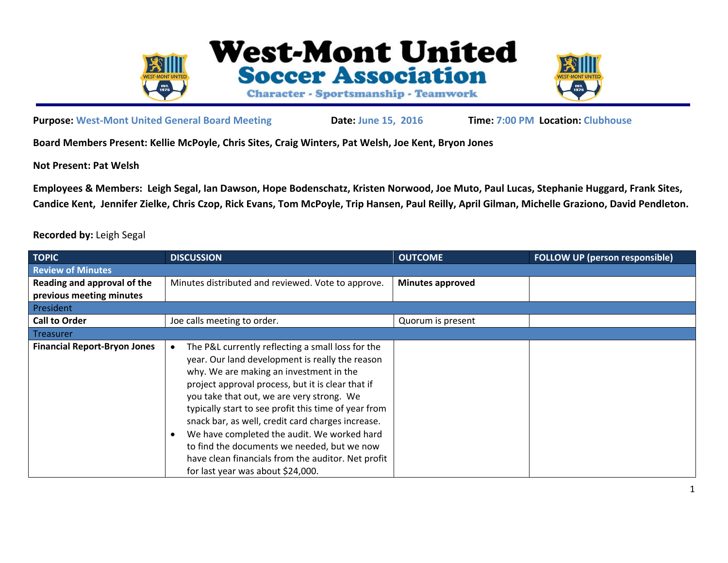

**West-Mont United Soccer Association Character - Sportsmanship - Teamwork** 



**Purpose: West‐Mont United General Board Meeting Date: June 15, 2016 Time: 7:00 PM Location: Clubhouse**

**Board Members Present: Kellie McPoyle, Chris Sites, Craig Winters, Pat Welsh, Joe Kent, Bryon Jones**

**Not Present: Pat Welsh** 

**Employees & Members: Leigh Segal, Ian Dawson, Hope Bodenschatz, Kristen Norwood, Joe Muto, Paul Lucas, Stephanie Huggard, Frank Sites, Candice Kent, Jennifer Zielke, Chris Czop, Rick Evans, Tom McPoyle, Trip Hansen, Paul Reilly, April Gilman, Michelle Graziono, David Pendleton.** 

## **Recorded by:** Leigh Segal

| <b>TOPIC</b>                        | <b>DISCUSSION</b>                                                                                                                                                                                                                                                                                                                                                                                                                                                                                                                                       | <b>OUTCOME</b>          | <b>FOLLOW UP (person responsible)</b> |
|-------------------------------------|---------------------------------------------------------------------------------------------------------------------------------------------------------------------------------------------------------------------------------------------------------------------------------------------------------------------------------------------------------------------------------------------------------------------------------------------------------------------------------------------------------------------------------------------------------|-------------------------|---------------------------------------|
| <b>Review of Minutes</b>            |                                                                                                                                                                                                                                                                                                                                                                                                                                                                                                                                                         |                         |                                       |
| Reading and approval of the         | Minutes distributed and reviewed. Vote to approve.                                                                                                                                                                                                                                                                                                                                                                                                                                                                                                      | <b>Minutes approved</b> |                                       |
| previous meeting minutes            |                                                                                                                                                                                                                                                                                                                                                                                                                                                                                                                                                         |                         |                                       |
| President                           |                                                                                                                                                                                                                                                                                                                                                                                                                                                                                                                                                         |                         |                                       |
| <b>Call to Order</b>                | Joe calls meeting to order.                                                                                                                                                                                                                                                                                                                                                                                                                                                                                                                             | Quorum is present       |                                       |
| <b>Treasurer</b>                    |                                                                                                                                                                                                                                                                                                                                                                                                                                                                                                                                                         |                         |                                       |
| <b>Financial Report-Bryon Jones</b> | The P&L currently reflecting a small loss for the<br>year. Our land development is really the reason<br>why. We are making an investment in the<br>project approval process, but it is clear that if<br>you take that out, we are very strong. We<br>typically start to see profit this time of year from<br>snack bar, as well, credit card charges increase.<br>We have completed the audit. We worked hard<br>to find the documents we needed, but we now<br>have clean financials from the auditor. Net profit<br>for last year was about \$24,000. |                         |                                       |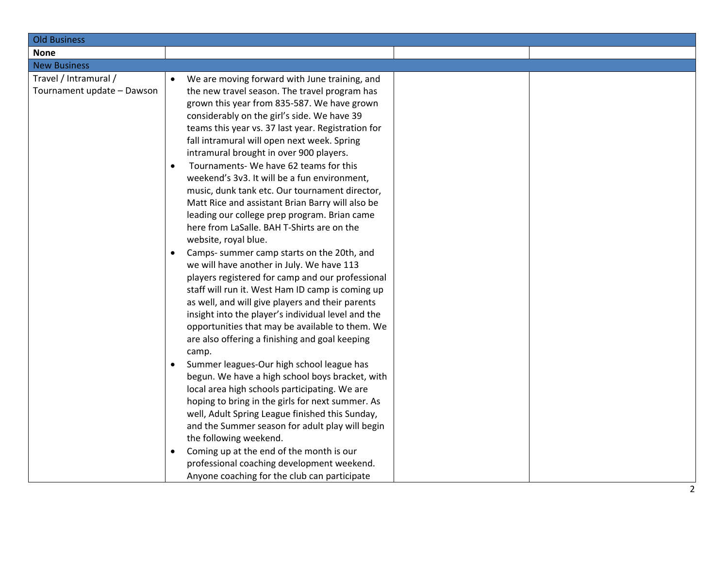| <b>Old Business</b>        |                                                         |  |  |
|----------------------------|---------------------------------------------------------|--|--|
| <b>None</b>                |                                                         |  |  |
| <b>New Business</b>        |                                                         |  |  |
| Travel / Intramural /      | We are moving forward with June training, and           |  |  |
| Tournament update - Dawson | the new travel season. The travel program has           |  |  |
|                            | grown this year from 835-587. We have grown             |  |  |
|                            | considerably on the girl's side. We have 39             |  |  |
|                            | teams this year vs. 37 last year. Registration for      |  |  |
|                            | fall intramural will open next week. Spring             |  |  |
|                            | intramural brought in over 900 players.                 |  |  |
|                            | Tournaments-We have 62 teams for this                   |  |  |
|                            | weekend's 3v3. It will be a fun environment,            |  |  |
|                            | music, dunk tank etc. Our tournament director,          |  |  |
|                            | Matt Rice and assistant Brian Barry will also be        |  |  |
|                            | leading our college prep program. Brian came            |  |  |
|                            | here from LaSalle. BAH T-Shirts are on the              |  |  |
|                            | website, royal blue.                                    |  |  |
|                            | Camps- summer camp starts on the 20th, and<br>$\bullet$ |  |  |
|                            | we will have another in July. We have 113               |  |  |
|                            | players registered for camp and our professional        |  |  |
|                            | staff will run it. West Ham ID camp is coming up        |  |  |
|                            | as well, and will give players and their parents        |  |  |
|                            | insight into the player's individual level and the      |  |  |
|                            | opportunities that may be available to them. We         |  |  |
|                            | are also offering a finishing and goal keeping          |  |  |
|                            | camp.                                                   |  |  |
|                            | Summer leagues-Our high school league has               |  |  |
|                            | begun. We have a high school boys bracket, with         |  |  |
|                            | local area high schools participating. We are           |  |  |
|                            | hoping to bring in the girls for next summer. As        |  |  |
|                            | well, Adult Spring League finished this Sunday,         |  |  |
|                            | and the Summer season for adult play will begin         |  |  |
|                            | the following weekend.                                  |  |  |
|                            | Coming up at the end of the month is our<br>$\bullet$   |  |  |
|                            | professional coaching development weekend.              |  |  |
|                            | Anyone coaching for the club can participate            |  |  |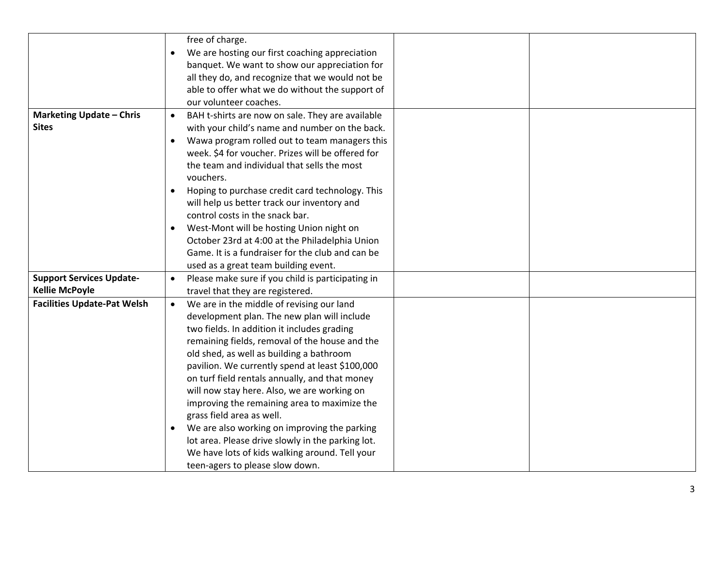|                                    | free of charge.                                                |
|------------------------------------|----------------------------------------------------------------|
|                                    | We are hosting our first coaching appreciation<br>$\bullet$    |
|                                    | banquet. We want to show our appreciation for                  |
|                                    | all they do, and recognize that we would not be                |
|                                    | able to offer what we do without the support of                |
|                                    | our volunteer coaches.                                         |
| <b>Marketing Update - Chris</b>    | BAH t-shirts are now on sale. They are available<br>$\bullet$  |
| <b>Sites</b>                       | with your child's name and number on the back.                 |
|                                    | Wawa program rolled out to team managers this<br>$\bullet$     |
|                                    | week. \$4 for voucher. Prizes will be offered for              |
|                                    | the team and individual that sells the most                    |
|                                    | vouchers.                                                      |
|                                    | Hoping to purchase credit card technology. This<br>$\bullet$   |
|                                    | will help us better track our inventory and                    |
|                                    | control costs in the snack bar.                                |
|                                    | West-Mont will be hosting Union night on<br>$\bullet$          |
|                                    | October 23rd at 4:00 at the Philadelphia Union                 |
|                                    | Game. It is a fundraiser for the club and can be               |
|                                    | used as a great team building event.                           |
| <b>Support Services Update-</b>    | Please make sure if you child is participating in<br>$\bullet$ |
| <b>Kellie McPoyle</b>              | travel that they are registered.                               |
| <b>Facilities Update-Pat Welsh</b> | We are in the middle of revising our land<br>$\bullet$         |
|                                    | development plan. The new plan will include                    |
|                                    | two fields. In addition it includes grading                    |
|                                    | remaining fields, removal of the house and the                 |
|                                    | old shed, as well as building a bathroom                       |
|                                    | pavilion. We currently spend at least \$100,000                |
|                                    | on turf field rentals annually, and that money                 |
|                                    | will now stay here. Also, we are working on                    |
|                                    | improving the remaining area to maximize the                   |
|                                    | grass field area as well.                                      |
|                                    | We are also working on improving the parking<br>$\bullet$      |
|                                    | lot area. Please drive slowly in the parking lot.              |
|                                    | We have lots of kids walking around. Tell your                 |
|                                    | teen-agers to please slow down.                                |